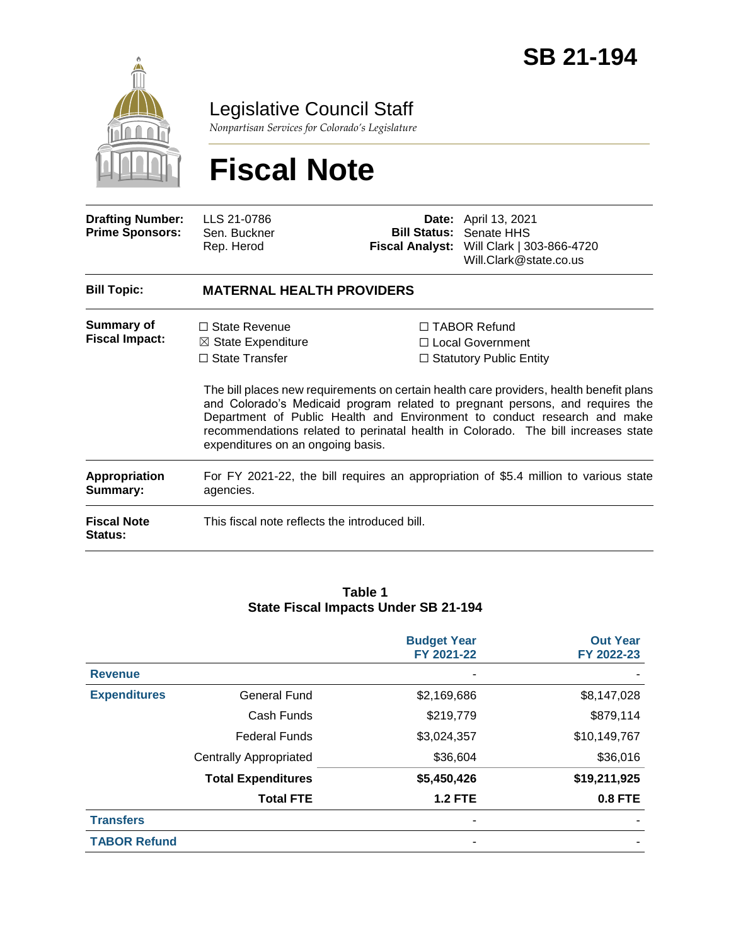

## Legislative Council Staff

*Nonpartisan Services for Colorado's Legislature*

# **Fiscal Note**

| <b>Drafting Number:</b><br><b>Prime Sponsors:</b> | LLS 21-0786<br>Sen. Buckner<br>Rep. Herod                                                                           |  | <b>Date:</b> April 13, 2021<br><b>Bill Status: Senate HHS</b><br>Fiscal Analyst: Will Clark   303-866-4720<br>Will.Clark@state.co.us                                                                                                                                                                                                                                                                                          |  |  |  |
|---------------------------------------------------|---------------------------------------------------------------------------------------------------------------------|--|-------------------------------------------------------------------------------------------------------------------------------------------------------------------------------------------------------------------------------------------------------------------------------------------------------------------------------------------------------------------------------------------------------------------------------|--|--|--|
| <b>Bill Topic:</b>                                | <b>MATERNAL HEALTH PROVIDERS</b>                                                                                    |  |                                                                                                                                                                                                                                                                                                                                                                                                                               |  |  |  |
| Summary of<br><b>Fiscal Impact:</b>               | $\Box$ State Revenue<br>$\boxtimes$ State Expenditure<br>$\Box$ State Transfer<br>expenditures on an ongoing basis. |  | $\Box$ TABOR Refund<br>$\Box$ Local Government<br>$\Box$ Statutory Public Entity<br>The bill places new requirements on certain health care providers, health benefit plans<br>and Colorado's Medicaid program related to pregnant persons, and requires the<br>Department of Public Health and Environment to conduct research and make<br>recommendations related to perinatal health in Colorado. The bill increases state |  |  |  |
| <b>Appropriation</b><br>Summary:                  | For FY 2021-22, the bill requires an appropriation of \$5.4 million to various state<br>agencies.                   |  |                                                                                                                                                                                                                                                                                                                                                                                                                               |  |  |  |
| <b>Fiscal Note</b><br><b>Status:</b>              | This fiscal note reflects the introduced bill.                                                                      |  |                                                                                                                                                                                                                                                                                                                                                                                                                               |  |  |  |

#### **Table 1 State Fiscal Impacts Under SB 21-194**

|                     |                               | <b>Budget Year</b><br>FY 2021-22 | <b>Out Year</b><br>FY 2022-23 |
|---------------------|-------------------------------|----------------------------------|-------------------------------|
| <b>Revenue</b>      |                               |                                  |                               |
| <b>Expenditures</b> | <b>General Fund</b>           | \$2,169,686                      | \$8,147,028                   |
|                     | Cash Funds                    | \$219,779                        | \$879,114                     |
|                     | <b>Federal Funds</b>          | \$3,024,357                      | \$10,149,767                  |
|                     | <b>Centrally Appropriated</b> | \$36,604                         | \$36,016                      |
|                     | <b>Total Expenditures</b>     | \$5,450,426                      | \$19,211,925                  |
|                     | <b>Total FTE</b>              | <b>1.2 FTE</b>                   | 0.8 FTE                       |
| <b>Transfers</b>    |                               |                                  |                               |
| <b>TABOR Refund</b> |                               |                                  |                               |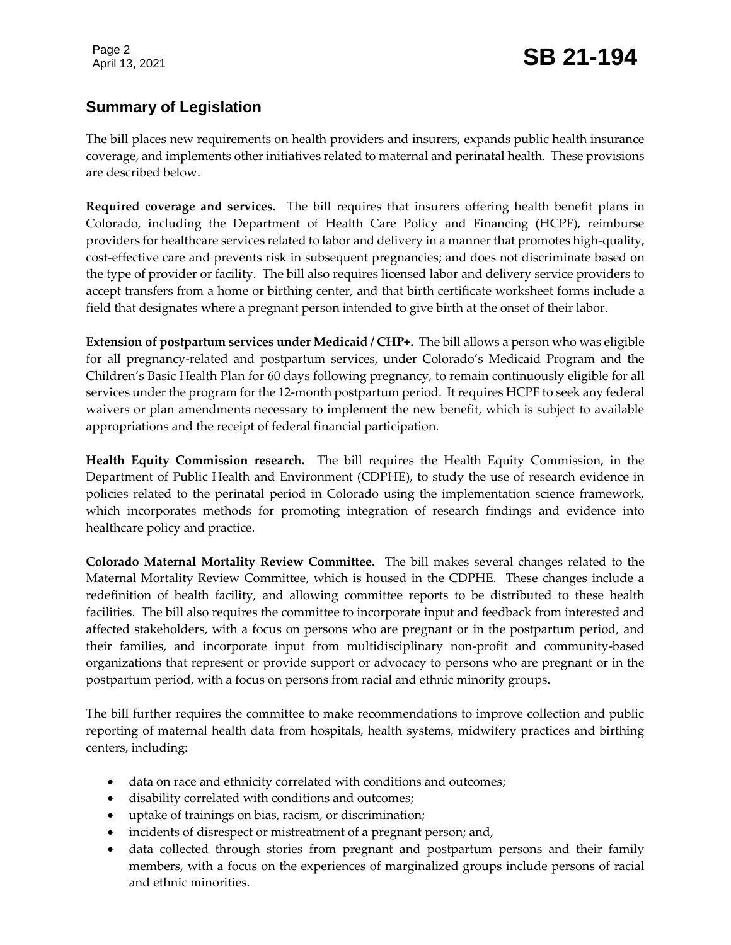# Page 2 **SB 21-194 SB 21-194**

### **Summary of Legislation**

The bill places new requirements on health providers and insurers, expands public health insurance coverage, and implements other initiatives related to maternal and perinatal health. These provisions are described below.

**Required coverage and services.** The bill requires that insurers offering health benefit plans in Colorado, including the Department of Health Care Policy and Financing (HCPF), reimburse providers for healthcare services related to labor and delivery in a manner that promotes high-quality, cost-effective care and prevents risk in subsequent pregnancies; and does not discriminate based on the type of provider or facility. The bill also requires licensed labor and delivery service providers to accept transfers from a home or birthing center, and that birth certificate worksheet forms include a field that designates where a pregnant person intended to give birth at the onset of their labor.

**Extension of postpartum services under Medicaid / CHP+.** The bill allows a person who was eligible for all pregnancy-related and postpartum services, under Colorado's Medicaid Program and the Children's Basic Health Plan for 60 days following pregnancy, to remain continuously eligible for all services under the program for the 12-month postpartum period. It requires HCPF to seek any federal waivers or plan amendments necessary to implement the new benefit, which is subject to available appropriations and the receipt of federal financial participation.

**Health Equity Commission research.** The bill requires the Health Equity Commission, in the Department of Public Health and Environment (CDPHE), to study the use of research evidence in policies related to the perinatal period in Colorado using the implementation science framework, which incorporates methods for promoting integration of research findings and evidence into healthcare policy and practice.

**Colorado Maternal Mortality Review Committee.** The bill makes several changes related to the Maternal Mortality Review Committee, which is housed in the CDPHE. These changes include a redefinition of health facility, and allowing committee reports to be distributed to these health facilities. The bill also requires the committee to incorporate input and feedback from interested and affected stakeholders, with a focus on persons who are pregnant or in the postpartum period, and their families, and incorporate input from multidisciplinary non-profit and community-based organizations that represent or provide support or advocacy to persons who are pregnant or in the postpartum period, with a focus on persons from racial and ethnic minority groups.

The bill further requires the committee to make recommendations to improve collection and public reporting of maternal health data from hospitals, health systems, midwifery practices and birthing centers, including:

- data on race and ethnicity correlated with conditions and outcomes;
- disability correlated with conditions and outcomes;
- uptake of trainings on bias, racism, or discrimination;
- incidents of disrespect or mistreatment of a pregnant person; and,
- data collected through stories from pregnant and postpartum persons and their family members, with a focus on the experiences of marginalized groups include persons of racial and ethnic minorities.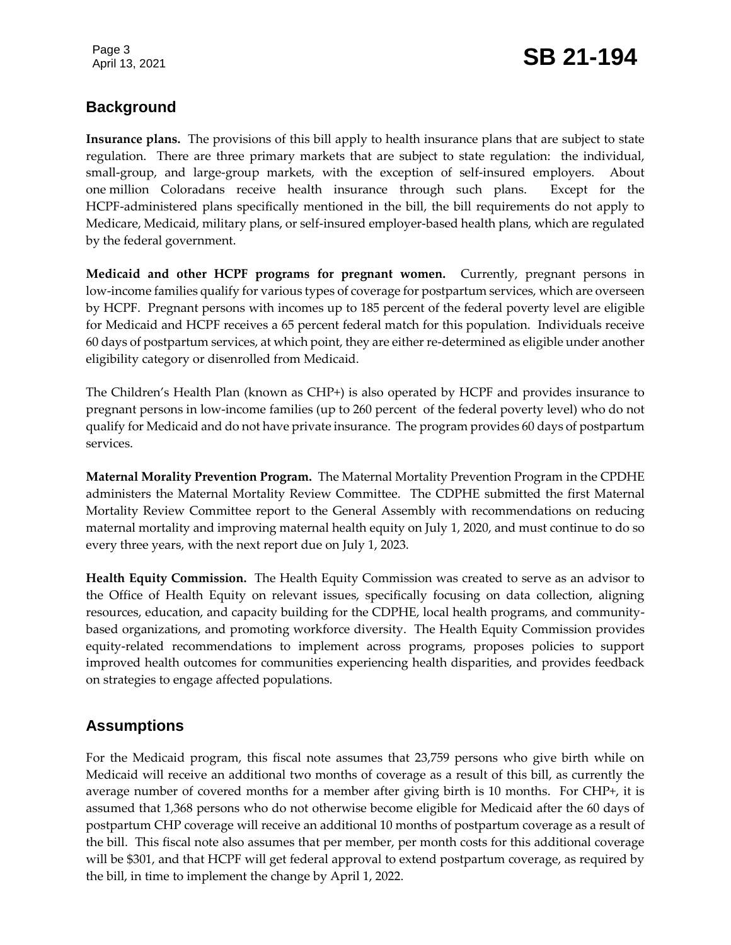### **Background**

**Insurance plans.** The provisions of this bill apply to health insurance plans that are subject to state regulation. There are three primary markets that are subject to state regulation: the individual, small-group, and large-group markets, with the exception of self-insured employers. About one million Coloradans receive health insurance through such plans. Except for the HCPF-administered plans specifically mentioned in the bill, the bill requirements do not apply to Medicare, Medicaid, military plans, or self-insured employer-based health plans, which are regulated by the federal government.

**Medicaid and other HCPF programs for pregnant women.** Currently, pregnant persons in low-income families qualify for various types of coverage for postpartum services, which are overseen by HCPF. Pregnant persons with incomes up to 185 percent of the federal poverty level are eligible for Medicaid and HCPF receives a 65 percent federal match for this population. Individuals receive 60 days of postpartum services, at which point, they are either re-determined as eligible under another eligibility category or disenrolled from Medicaid.

The Children's Health Plan (known as CHP+) is also operated by HCPF and provides insurance to pregnant persons in low-income families (up to 260 percent of the federal poverty level) who do not qualify for Medicaid and do not have private insurance. The program provides 60 days of postpartum services.

**Maternal Morality Prevention Program.** The Maternal Mortality Prevention Program in the CPDHE administers the Maternal Mortality Review Committee. The CDPHE submitted the first Maternal Mortality Review Committee report to the General Assembly with recommendations on reducing maternal mortality and improving maternal health equity on July 1, 2020, and must continue to do so every three years, with the next report due on July 1, 2023.

**Health Equity Commission.** The Health Equity Commission was created to serve as an advisor to the Office of Health Equity on relevant issues, specifically focusing on data collection, aligning resources, education, and capacity building for the CDPHE, local health programs, and communitybased organizations, and promoting workforce diversity. The Health Equity Commission provides equity-related recommendations to implement across programs, proposes policies to support improved health outcomes for communities experiencing health disparities, and provides feedback on strategies to engage affected populations.

### **Assumptions**

For the Medicaid program, this fiscal note assumes that 23,759 persons who give birth while on Medicaid will receive an additional two months of coverage as a result of this bill, as currently the average number of covered months for a member after giving birth is 10 months. For CHP+, it is assumed that 1,368 persons who do not otherwise become eligible for Medicaid after the 60 days of postpartum CHP coverage will receive an additional 10 months of postpartum coverage as a result of the bill. This fiscal note also assumes that per member, per month costs for this additional coverage will be \$301, and that HCPF will get federal approval to extend postpartum coverage, as required by the bill, in time to implement the change by April 1, 2022.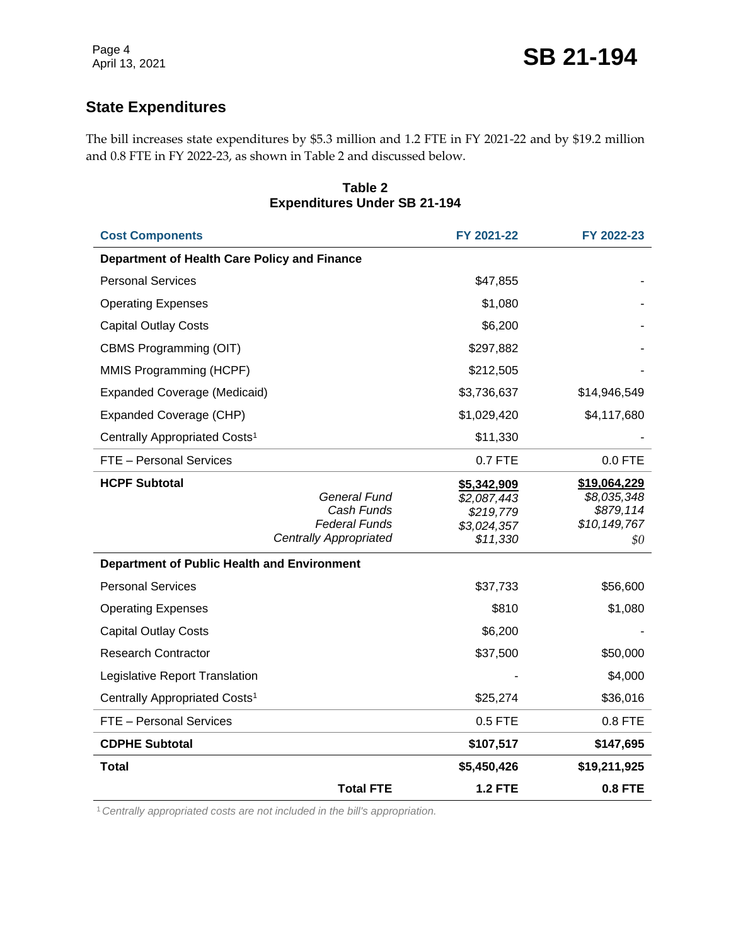#### **State Expenditures**

The bill increases state expenditures by \$5.3 million and 1.2 FTE in FY 2021-22 and by \$19.2 million and 0.8 FTE in FY 2022-23, as shown in Table 2 and discussed below.

| <b>Expenditures Under SB 21-194</b>          |                                                                                     |                                                                    |                                                                 |  |  |
|----------------------------------------------|-------------------------------------------------------------------------------------|--------------------------------------------------------------------|-----------------------------------------------------------------|--|--|
| <b>Cost Components</b>                       | FY 2021-22                                                                          | FY 2022-23                                                         |                                                                 |  |  |
| Department of Health Care Policy and Finance |                                                                                     |                                                                    |                                                                 |  |  |
| <b>Personal Services</b>                     |                                                                                     | \$47,855                                                           |                                                                 |  |  |
| <b>Operating Expenses</b>                    |                                                                                     | \$1,080                                                            |                                                                 |  |  |
| <b>Capital Outlay Costs</b>                  |                                                                                     | \$6,200                                                            |                                                                 |  |  |
| CBMS Programming (OIT)                       |                                                                                     | \$297,882                                                          |                                                                 |  |  |
| MMIS Programming (HCPF)                      |                                                                                     | \$212,505                                                          |                                                                 |  |  |
| <b>Expanded Coverage (Medicaid)</b>          |                                                                                     | \$3,736,637                                                        | \$14,946,549                                                    |  |  |
| Expanded Coverage (CHP)                      |                                                                                     | \$1,029,420                                                        | \$4,117,680                                                     |  |  |
| Centrally Appropriated Costs <sup>1</sup>    |                                                                                     | \$11,330                                                           |                                                                 |  |  |
| FTE - Personal Services                      |                                                                                     | 0.7 FTE                                                            | $0.0$ FTE                                                       |  |  |
| <b>HCPF Subtotal</b>                         | General Fund<br>Cash Funds<br><b>Federal Funds</b><br><b>Centrally Appropriated</b> | \$5,342,909<br>\$2,087,443<br>\$219,779<br>\$3,024,357<br>\$11,330 | \$19,064,229<br>\$8,035,348<br>\$879,114<br>\$10,149,767<br>\$0 |  |  |
| Department of Public Health and Environment  |                                                                                     |                                                                    |                                                                 |  |  |
| <b>Personal Services</b>                     |                                                                                     | \$37,733                                                           | \$56,600                                                        |  |  |
| <b>Operating Expenses</b>                    |                                                                                     | \$810                                                              | \$1,080                                                         |  |  |
| <b>Capital Outlay Costs</b>                  |                                                                                     | \$6,200                                                            |                                                                 |  |  |
| <b>Research Contractor</b>                   |                                                                                     | \$37,500                                                           | \$50,000                                                        |  |  |
| Legislative Report Translation               |                                                                                     |                                                                    | \$4,000                                                         |  |  |
| Centrally Appropriated Costs <sup>1</sup>    |                                                                                     | \$25,274                                                           | \$36,016                                                        |  |  |
| FTE - Personal Services                      |                                                                                     | $0.5$ FTE                                                          | $0.8$ FTE                                                       |  |  |
| <b>CDPHE Subtotal</b>                        |                                                                                     | \$107,517                                                          | \$147,695                                                       |  |  |
| <b>Total</b>                                 |                                                                                     | \$5,450,426                                                        | \$19,211,925                                                    |  |  |
|                                              | <b>Total FTE</b>                                                                    | <b>1.2 FTE</b>                                                     | $0.8$ FTE                                                       |  |  |

#### **Table 2 Expenditures Under SB 21-194**

1*Centrally appropriated costs are not included in the bill's appropriation.*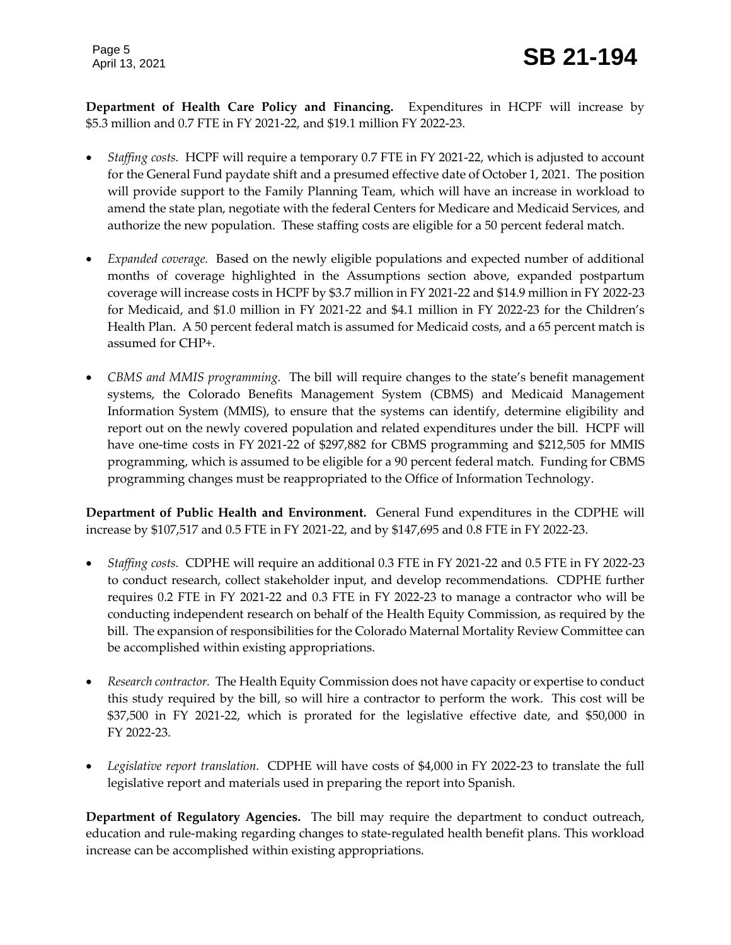**Department of Health Care Policy and Financing.** Expenditures in HCPF will increase by \$5.3 million and 0.7 FTE in FY 2021-22, and \$19.1 million FY 2022-23.

- *Staffing costs.* HCPF will require a temporary 0.7 FTE in FY 2021-22, which is adjusted to account for the General Fund paydate shift and a presumed effective date of October 1, 2021. The position will provide support to the Family Planning Team, which will have an increase in workload to amend the state plan, negotiate with the federal Centers for Medicare and Medicaid Services, and authorize the new population. These staffing costs are eligible for a 50 percent federal match.
- *Expanded coverage.* Based on the newly eligible populations and expected number of additional months of coverage highlighted in the Assumptions section above, expanded postpartum coverage will increase costs in HCPF by \$3.7 million in FY 2021-22 and \$14.9 million in FY 2022-23 for Medicaid, and \$1.0 million in FY 2021-22 and \$4.1 million in FY 2022-23 for the Children's Health Plan. A 50 percent federal match is assumed for Medicaid costs, and a 65 percent match is assumed for CHP+.
- *CBMS and MMIS programming.* The bill will require changes to the state's benefit management systems, the Colorado Benefits Management System (CBMS) and Medicaid Management Information System (MMIS), to ensure that the systems can identify, determine eligibility and report out on the newly covered population and related expenditures under the bill. HCPF will have one-time costs in FY 2021-22 of \$297,882 for CBMS programming and \$212,505 for MMIS programming, which is assumed to be eligible for a 90 percent federal match. Funding for CBMS programming changes must be reappropriated to the Office of Information Technology.

**Department of Public Health and Environment.** General Fund expenditures in the CDPHE will increase by \$107,517 and 0.5 FTE in FY 2021-22, and by \$147,695 and 0.8 FTE in FY 2022-23.

- *Staffing costs.* CDPHE will require an additional 0.3 FTE in FY 2021-22 and 0.5 FTE in FY 2022-23 to conduct research, collect stakeholder input, and develop recommendations. CDPHE further requires 0.2 FTE in FY 2021-22 and 0.3 FTE in FY 2022-23 to manage a contractor who will be conducting independent research on behalf of the Health Equity Commission, as required by the bill. The expansion of responsibilities for the Colorado Maternal Mortality Review Committee can be accomplished within existing appropriations.
- *Research contractor.* The Health Equity Commission does not have capacity or expertise to conduct this study required by the bill, so will hire a contractor to perform the work. This cost will be \$37,500 in FY 2021-22, which is prorated for the legislative effective date, and \$50,000 in FY 2022-23.
- *Legislative report translation.* CDPHE will have costs of \$4,000 in FY 2022-23 to translate the full legislative report and materials used in preparing the report into Spanish.

**Department of Regulatory Agencies.** The bill may require the department to conduct outreach, education and rule-making regarding changes to state-regulated health benefit plans. This workload increase can be accomplished within existing appropriations.